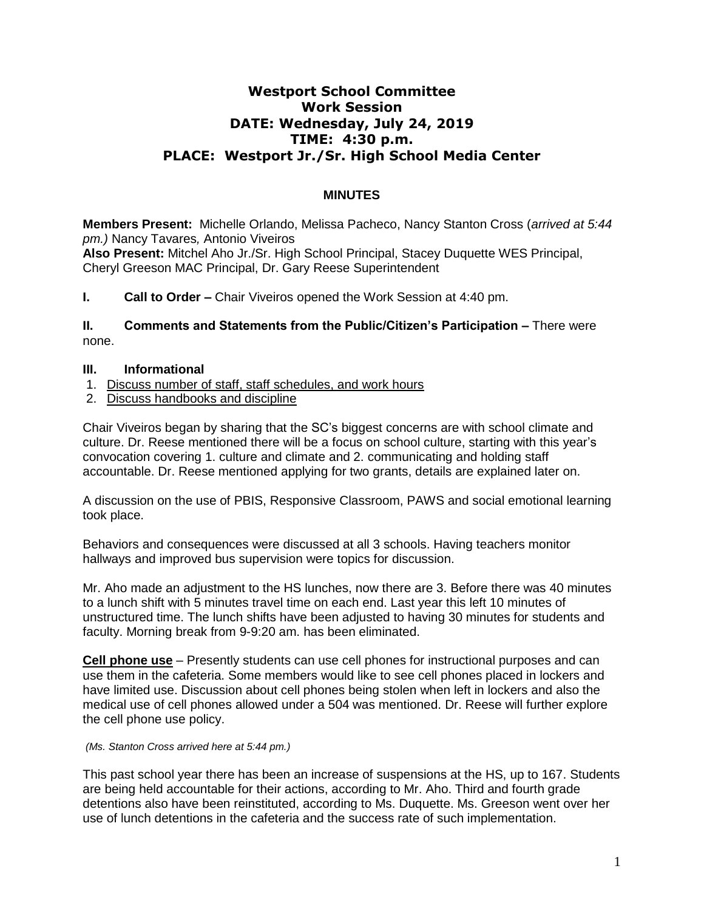# **Westport School Committee Work Session DATE: Wednesday, July 24, 2019 TIME: 4:30 p.m. PLACE: Westport Jr./Sr. High School Media Center**

## **MINUTES**

**Members Present:** Michelle Orlando, Melissa Pacheco, Nancy Stanton Cross (*arrived at 5:44 pm.)* Nancy Tavares*,* Antonio Viveiros

**Also Present:** Mitchel Aho Jr./Sr. High School Principal, Stacey Duquette WES Principal, Cheryl Greeson MAC Principal, Dr. Gary Reese Superintendent

**I. Call to Order –** Chair Viveiros opened the Work Session at 4:40 pm.

**II. Comments and Statements from the Public/Citizen's Participation –** There were none.

### **III. Informational**

- 1. Discuss number of staff, staff schedules, and work hours
- 2. Discuss handbooks and discipline

Chair Viveiros began by sharing that the SC's biggest concerns are with school climate and culture. Dr. Reese mentioned there will be a focus on school culture, starting with this year's convocation covering 1. culture and climate and 2. communicating and holding staff accountable. Dr. Reese mentioned applying for two grants, details are explained later on.

A discussion on the use of PBIS, Responsive Classroom, PAWS and social emotional learning took place.

Behaviors and consequences were discussed at all 3 schools. Having teachers monitor hallways and improved bus supervision were topics for discussion.

Mr. Aho made an adjustment to the HS lunches, now there are 3. Before there was 40 minutes to a lunch shift with 5 minutes travel time on each end. Last year this left 10 minutes of unstructured time. The lunch shifts have been adjusted to having 30 minutes for students and faculty. Morning break from 9-9:20 am. has been eliminated.

**Cell phone use** – Presently students can use cell phones for instructional purposes and can use them in the cafeteria. Some members would like to see cell phones placed in lockers and have limited use. Discussion about cell phones being stolen when left in lockers and also the medical use of cell phones allowed under a 504 was mentioned. Dr. Reese will further explore the cell phone use policy.

#### *(Ms. Stanton Cross arrived here at 5:44 pm.)*

This past school year there has been an increase of suspensions at the HS, up to 167. Students are being held accountable for their actions, according to Mr. Aho. Third and fourth grade detentions also have been reinstituted, according to Ms. Duquette. Ms. Greeson went over her use of lunch detentions in the cafeteria and the success rate of such implementation.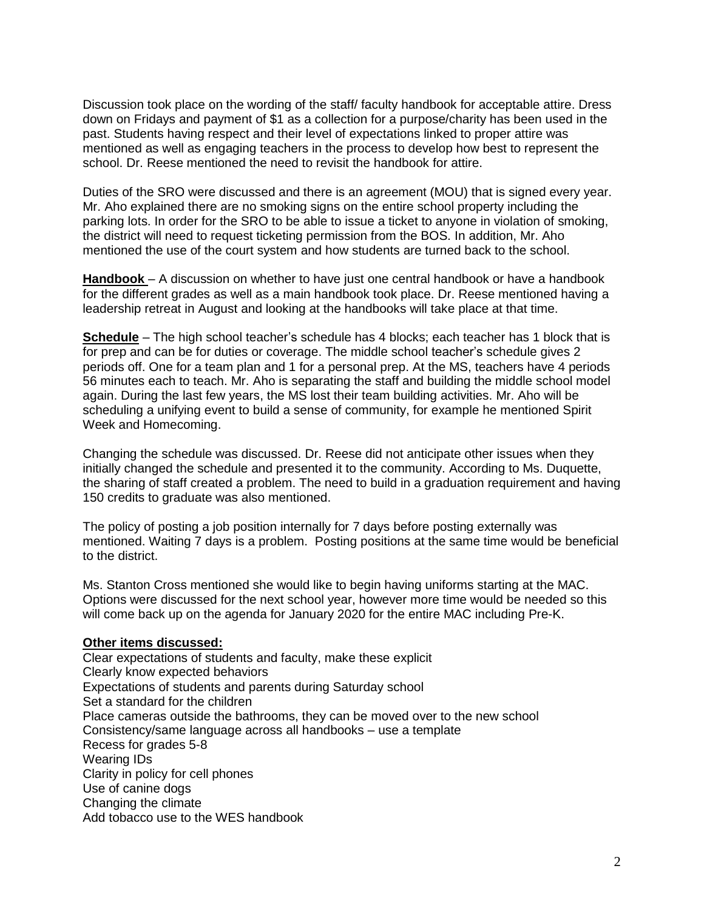Discussion took place on the wording of the staff/ faculty handbook for acceptable attire. Dress down on Fridays and payment of \$1 as a collection for a purpose/charity has been used in the past. Students having respect and their level of expectations linked to proper attire was mentioned as well as engaging teachers in the process to develop how best to represent the school. Dr. Reese mentioned the need to revisit the handbook for attire.

Duties of the SRO were discussed and there is an agreement (MOU) that is signed every year. Mr. Aho explained there are no smoking signs on the entire school property including the parking lots. In order for the SRO to be able to issue a ticket to anyone in violation of smoking, the district will need to request ticketing permission from the BOS. In addition, Mr. Aho mentioned the use of the court system and how students are turned back to the school.

**Handbook** – A discussion on whether to have just one central handbook or have a handbook for the different grades as well as a main handbook took place. Dr. Reese mentioned having a leadership retreat in August and looking at the handbooks will take place at that time.

**Schedule** – The high school teacher's schedule has 4 blocks; each teacher has 1 block that is for prep and can be for duties or coverage. The middle school teacher's schedule gives 2 periods off. One for a team plan and 1 for a personal prep. At the MS, teachers have 4 periods 56 minutes each to teach. Mr. Aho is separating the staff and building the middle school model again. During the last few years, the MS lost their team building activities. Mr. Aho will be scheduling a unifying event to build a sense of community, for example he mentioned Spirit Week and Homecoming.

Changing the schedule was discussed. Dr. Reese did not anticipate other issues when they initially changed the schedule and presented it to the community. According to Ms. Duquette, the sharing of staff created a problem. The need to build in a graduation requirement and having 150 credits to graduate was also mentioned.

The policy of posting a job position internally for 7 days before posting externally was mentioned. Waiting 7 days is a problem. Posting positions at the same time would be beneficial to the district.

Ms. Stanton Cross mentioned she would like to begin having uniforms starting at the MAC. Options were discussed for the next school year, however more time would be needed so this will come back up on the agenda for January 2020 for the entire MAC including Pre-K.

### **Other items discussed:**

Clear expectations of students and faculty, make these explicit Clearly know expected behaviors Expectations of students and parents during Saturday school Set a standard for the children Place cameras outside the bathrooms, they can be moved over to the new school Consistency/same language across all handbooks – use a template Recess for grades 5-8 Wearing IDs Clarity in policy for cell phones Use of canine dogs Changing the climate Add tobacco use to the WES handbook